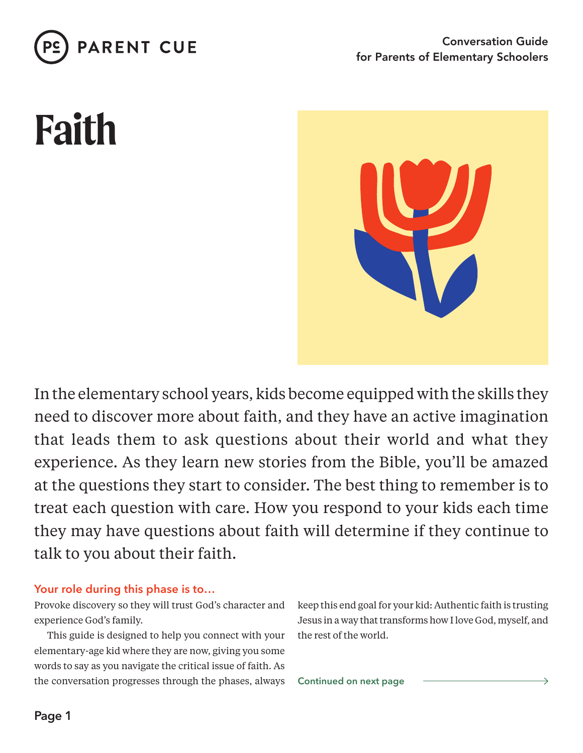

# **Faith**



In the elementary school years, kids become equipped with the skills they need to discover more about faith, and they have an active imagination that leads them to ask questions about their world and what they experience. As they learn new stories from the Bible, you'll be amazed at the questions they start to consider. The best thing to remember is to treat each question with care. How you respond to your kids each time they may have questions about faith will determine if they continue to talk to you about their faith.

## **Your role during this phase is to…**

Provoke discovery so they will trust God's character and experience God's family.

This guide is designed to help you connect with your elementary-age kid where they are now, giving you some words to say as you navigate the critical issue of faith. As the conversation progresses through the phases, always keep this end goal for your kid: Authentic faith is trusting Jesus in a way that transforms how I love God, myself, and the rest of the world.

**Continued on next page**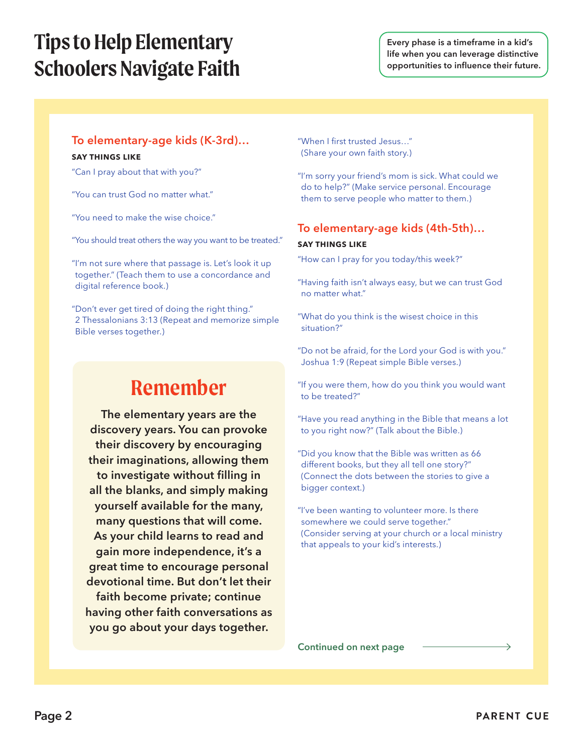## **Tips to Help Elementary Schoolers Navigate Faith**

## **To elementary-age kids (K-3rd)… SAY THINGS LIKE**

"Can I pray about that with you?"

"You can trust God no matter what."

"You need to make the wise choice."

"You should treat others the way you want to be treated."

"I'm not sure where that passage is. Let's look it up together." (Teach them to use a concordance and digital reference book.)

"Don't ever get tired of doing the right thing." 2 Thessalonians 3:13 (Repeat and memorize simple Bible verses together.)

## **Remember**

**The elementary years are the**  discovery years. You can provoke **their discovery by encouraging their imaginations, allowing them**  to investigate without filling in **all the blanks, and simply making yourself available for the many,**  many questions that will come. **As your child learns to read and gain more independence, it's a great time to encourage personal devotional time. But don't let their faith become private; continue having other faith conversations as**  you go about your days together.

"When I first trusted Jesus..." (Share your own faith story.)

"I'm sorry your friend's mom is sick. What could we do to help?" (Make service personal. Encourage them to serve people who matter to them.)

### **To elementary-age kids (4th-5th)…**

#### **SAY THINGS LIKE**

"How can I pray for you today/this week?"

"Having faith isn't always easy, but we can trust God no matter what."

"What do you think is the wisest choice in this situation?"

"Do not be afraid, for the Lord your God is with you." Joshua 1:9 (Repeat simple Bible verses.)

"If you were them, how do you think you would want to be treated?"

"Have you read anything in the Bible that means a lot to you right now?" (Talk about the Bible.)

"Did you know that the Bible was written as 66 different books, but they all tell one story?" (Connect the dots between the stories to give a bigger context.)

"I've been wanting to volunteer more. Is there somewhere we could serve together." (Consider serving at your church or a local ministry that appeals to your kid's interests.)

**Continued on next page**